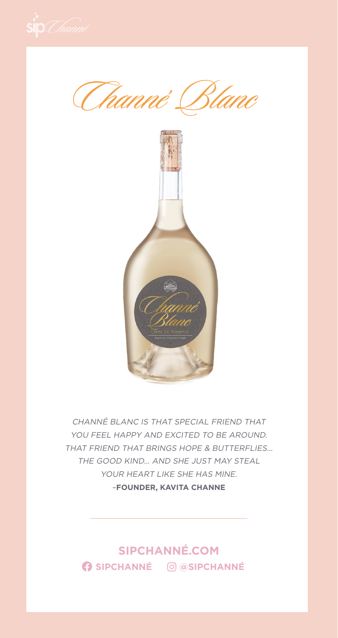Channé Blanc



CHANNÉ BLANC IS THAT SPECIAL FRIEND THAT YOU FEEL HAPPY AND EXCITED TO BE AROUND. THAT FRIEND THAT BRINGS HOPE & BUTTERFLIES… THE GOOD KIND… AND SHE JUST MAY STEAL YOUR HEART LIKE SHE HAS MINE. –**FOUNDER, KAVITA CHANNE**

**SIPCHANNÉ.COM SIPCHANNÉ @SIPCHANNÉ**